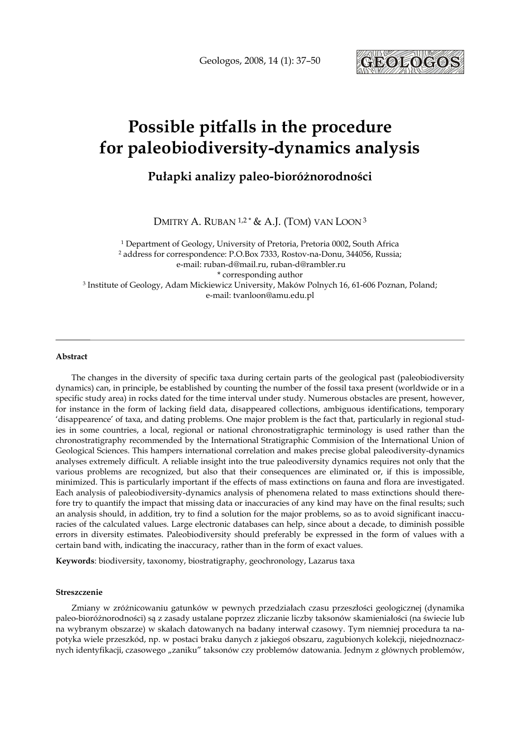Geologos, 2008, 14 (1): 37–50



# Possible pitfalls in the procedure for paleobiodiversity-dynamics analysis

## Pułapki analizy paleo-bioróżnorodności

DMITRY A. RUBAN <sup>1,2</sup> \* & A.J. (TOM) VAN LOON<sup>3</sup>

1 Department of Geology, University of Pretoria, Pretoria 0002, South Africa 2 address for correspondence: P.O.Box 7333, Rostov-na-Donu, 344056, Russia; e-mail: ruban-d@mail.ru, ruban-d@rambler.ru \* corresponding author 3 Institute of Geology, Adam Mickiewicz University, Maków Polnych 16, 61-606 Poznan, Poland; e-mail: tvanloon@amu.edu.pl

#### Abstract

The changes in the diversity of specific taxa during certain parts of the geological past (paleobiodiversity dynamics) can, in principle, be established by counting the number of the fossil taxa present (worldwide or in a specific study area) in rocks dated for the time interval under study. Numerous obstacles are present, however, for instance in the form of lacking field data, disappeared collections, ambiguous identifications, temporary 'disappearence' of taxa, and dating problems. One major problem is the fact that, particularly in regional studies in some countries, a local, regional or national chronostratigraphic terminology is used rather than the chronostratigraphy recommended by the International Stratigraphic Commision of the International Union of Geological Sciences. This hampers international correlation and makes precise global paleodiversity-dynamics analyses extremely difficult. A reliable insight into the true paleodiversity dynamics requires not only that the various problems are recognized, but also that their consequences are eliminated or, if this is impossible, minimized. This is particularly important if the effects of mass extinctions on fauna and flora are investigated. Each analysis of paleobiodiversity-dynamics analysis of phenomena related to mass extinctions should therefore try to quantify the impact that missing data or inaccuracies of any kind may have on the final results; such an analysis should, in addition, try to find a solution for the major problems, so as to avoid significant inaccuracies of the calculated values. Large electronic databases can help, since about a decade, to diminish possible errors in diversity estimates. Paleobiodiversity should preferably be expressed in the form of values with a certain band with, indicating the inaccuracy, rather than in the form of exact values.

Keywords: biodiversity, taxonomy, biostratigraphy, geochronology, Lazarus taxa

#### Streszczenie

Zmiany w zróżnicowaniu gatunków w pewnych przedziałach czasu przeszłości geologicznej (dynamika paleo-bioróŜnorodności) są z zasady ustalane poprzez zliczanie liczby taksonów skamieniałości (na świecie lub na wybranym obszarze) w skałach datowanych na badany interwał czasowy. Tym niemniej procedura ta napotyka wiele przeszkód, np. w postaci braku danych z jakiegoś obszaru, zagubionych kolekcji, niejednoznacznych identyfikacji, czasowego "zaniku" taksonów czy problemów datowania. Jednym z głównych problemów,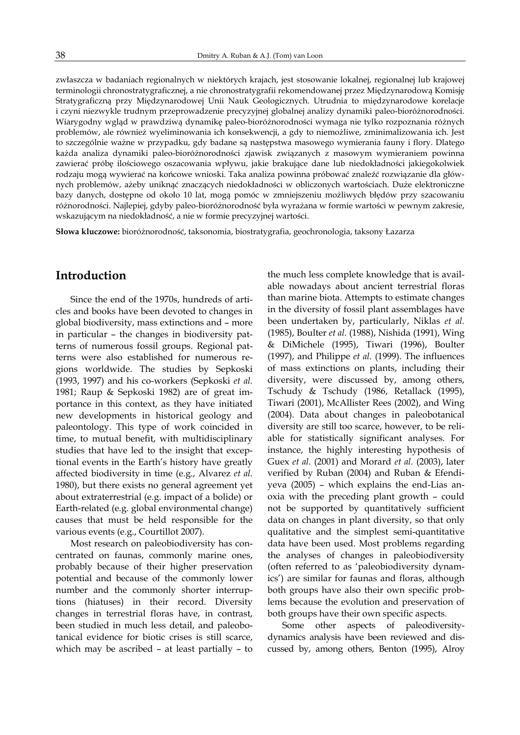zwłaszcza w badaniach regionalnych w niektórych krajach, jest stosowanie lokalnej, regionalnej lub krajowej terminologii chronostratygraficznej, a nie chronostratygrafii rekomendowanej przez Międzynarodową Komisję Stratygraficzną przy Międzynarodowej Unii Nauk Geologicznych. Utrudnia to międzynarodowe korelacje i czyni niezwykle trudnym przeprowadzenie precyzyjnej globalnej analizy dynamiki paleo-bioróżnorodności. Wiarygodny wgląd w prawdziwą dynamikę paleo-bioróżnorodności wymaga nie tylko rozpoznania różnych problemów, ale również wyeliminowania ich konsekwencji, a gdy to niemożliwe, zminimalizowania ich. Jest to szczególnie ważne w przypadku, gdy badane są następstwa masowego wymierania fauny i flory. Dlatego każda analiza dynamiki paleo-bioróżnorodności zjawisk związanych z masowym wymieraniem powinna zawierać próbę ilościowego oszacowania wpływu, jakie brakujące dane lub niedokładności jakiegokolwiek rodzaju mogą wywierać na końcowe wnioski. Taka analiza powinna próbować znaleźć rozwiązanie dla głównych problemów, ażeby uniknąć znaczących niedokładności w obliczonych wartościach. Duże elektroniczne bazy danych, dostępne od około 10 lat, mogą pomóc w zmniejszeniu możliwych błędów przy szacowaniu różnorodności. Najlepiej, gdyby paleo-bioróżnorodność była wyrażana w formie wartości w pewnym zakresie, wskazującym na niedokładność, a nie w formie precyzyjnej wartości.

Słowa kluczowe: bioróżnorodność, taksonomia, biostratygrafia, geochronologia, taksony Łazarza

## Introduction

Since the end of the 1970s, hundreds of articles and books have been devoted to changes in global biodiversity, mass extinctions and – more in particular – the changes in biodiversity patterns of numerous fossil groups. Regional patterns were also established for numerous regions worldwide. The studies by Sepkoski (1993, 1997) and his co-workers (Sepkoski et al. 1981; Raup & Sepkoski 1982) are of great importance in this context, as they have initiated new developments in historical geology and paleontology. This type of work coincided in time, to mutual benefit, with multidisciplinary studies that have led to the insight that exceptional events in the Earth's history have greatly affected biodiversity in time (e.g., Alvarez et al. 1980), but there exists no general agreement yet about extraterrestrial (e.g. impact of a bolide) or Earth-related (e.g. global environmental change) causes that must be held responsible for the various events (e.g., Courtillot 2007).

Most research on paleobiodiversity has concentrated on faunas, commonly marine ones, probably because of their higher preservation potential and because of the commonly lower number and the commonly shorter interruptions (hiatuses) in their record. Diversity changes in terrestrial floras have, in contrast, been studied in much less detail, and paleobotanical evidence for biotic crises is still scarce, which may be ascribed – at least partially – to the much less complete knowledge that is available nowadays about ancient terrestrial floras than marine biota. Attempts to estimate changes in the diversity of fossil plant assemblages have been undertaken by, particularly, Niklas et al. (1985), Boulter et al. (1988), Nishida (1991), Wing & DiMichele (1995), Tiwari (1996), Boulter (1997), and Philippe et al. (1999). The influences of mass extinctions on plants, including their diversity, were discussed by, among others, Tschudy & Tschudy (1986, Retallack (1995), Tiwari (2001), McAllister Rees (2002), and Wing (2004). Data about changes in paleobotanical diversity are still too scarce, however, to be reliable for statistically significant analyses. For instance, the highly interesting hypothesis of Guex et al. (2001) and Morard et al. (2003), later verified by Ruban (2004) and Ruban & Efendiyeva (2005) – which explains the end-Lias anoxia with the preceding plant growth – could not be supported by quantitatively sufficient data on changes in plant diversity, so that only qualitative and the simplest semi-quantitative data have been used. Most problems regarding the analyses of changes in paleobiodiversity (often referred to as 'paleobiodiversity dynamics') are similar for faunas and floras, although both groups have also their own specific problems because the evolution and preservation of both groups have their own specific aspects.

Some other aspects of paleodiversitydynamics analysis have been reviewed and discussed by, among others, Benton (1995), Alroy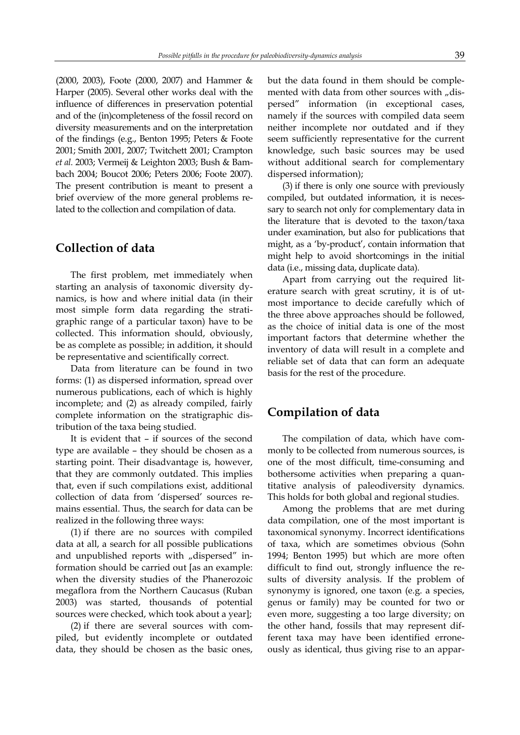(2000, 2003), Foote (2000, 2007) and Hammer & Harper (2005). Several other works deal with the influence of differences in preservation potential and of the (in)completeness of the fossil record on diversity measurements and on the interpretation of the findings (e.g., Benton 1995; Peters & Foote 2001; Smith 2001, 2007; Twitchett 2001; Crampton et al. 2003; Vermeij & Leighton 2003; Bush & Bambach 2004; Boucot 2006; Peters 2006; Foote 2007). The present contribution is meant to present a brief overview of the more general problems related to the collection and compilation of data.

## Collection of data

The first problem, met immediately when starting an analysis of taxonomic diversity dynamics, is how and where initial data (in their most simple form data regarding the stratigraphic range of a particular taxon) have to be collected. This information should, obviously, be as complete as possible; in addition, it should be representative and scientifically correct.

Data from literature can be found in two forms: (1) as dispersed information, spread over numerous publications, each of which is highly incomplete; and (2) as already compiled, fairly complete information on the stratigraphic distribution of the taxa being studied.

It is evident that – if sources of the second type are available – they should be chosen as a starting point. Their disadvantage is, however, that they are commonly outdated. This implies that, even if such compilations exist, additional collection of data from 'dispersed' sources remains essential. Thus, the search for data can be realized in the following three ways:

(1) if there are no sources with compiled data at all, a search for all possible publications and unpublished reports with "dispersed" information should be carried out [as an example: when the diversity studies of the Phanerozoic megaflora from the Northern Caucasus (Ruban 2003) was started, thousands of potential sources were checked, which took about a year];

(2) if there are several sources with compiled, but evidently incomplete or outdated data, they should be chosen as the basic ones, but the data found in them should be complemented with data from other sources with "dispersed" information (in exceptional cases, namely if the sources with compiled data seem neither incomplete nor outdated and if they seem sufficiently representative for the current knowledge, such basic sources may be used without additional search for complementary dispersed information);

(3) if there is only one source with previously compiled, but outdated information, it is necessary to search not only for complementary data in the literature that is devoted to the taxon/taxa under examination, but also for publications that might, as a 'by-product', contain information that might help to avoid shortcomings in the initial data (i.e., missing data, duplicate data).

Apart from carrying out the required literature search with great scrutiny, it is of utmost importance to decide carefully which of the three above approaches should be followed, as the choice of initial data is one of the most important factors that determine whether the inventory of data will result in a complete and reliable set of data that can form an adequate basis for the rest of the procedure.

## Compilation of data

The compilation of data, which have commonly to be collected from numerous sources, is one of the most difficult, time-consuming and bothersome activities when preparing a quantitative analysis of paleodiversity dynamics. This holds for both global and regional studies.

Among the problems that are met during data compilation, one of the most important is taxonomical synonymy. Incorrect identifications of taxa, which are sometimes obvious (Sohn 1994; Benton 1995) but which are more often difficult to find out, strongly influence the results of diversity analysis. If the problem of synonymy is ignored, one taxon (e.g. a species, genus or family) may be counted for two or even more, suggesting a too large diversity; on the other hand, fossils that may represent different taxa may have been identified erroneously as identical, thus giving rise to an appar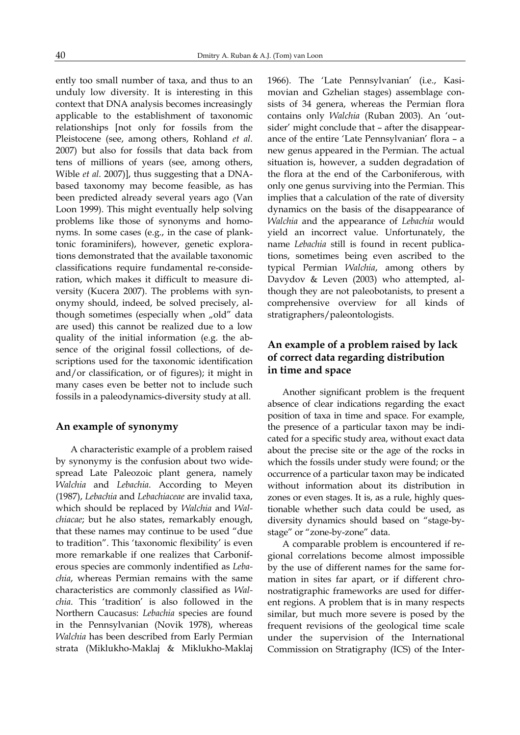ently too small number of taxa, and thus to an unduly low diversity. It is interesting in this context that DNA analysis becomes increasingly applicable to the establishment of taxonomic relationships [not only for fossils from the Pleistocene (see, among others, Rohland et al. 2007) but also for fossils that data back from tens of millions of years (see, among others, Wible et al. 2007)], thus suggesting that a DNAbased taxonomy may become feasible, as has been predicted already several years ago (Van Loon 1999). This might eventually help solving problems like those of synonyms and homonyms. In some cases (e.g., in the case of planktonic foraminifers), however, genetic explorations demonstrated that the available taxonomic classifications require fundamental re-consideration, which makes it difficult to measure diversity (Kucera 2007). The problems with synonymy should, indeed, be solved precisely, although sometimes (especially when "old" data are used) this cannot be realized due to a low quality of the initial information (e.g. the absence of the original fossil collections, of descriptions used for the taxonomic identification and/or classification, or of figures); it might in many cases even be better not to include such fossils in a paleodynamics-diversity study at all.

#### An example of synonymy

A characteristic example of a problem raised by synonymy is the confusion about two widespread Late Paleozoic plant genera, namely Walchia and Lebachia. According to Meyen (1987), Lebachia and Lebachiaceae are invalid taxa, which should be replaced by Walchia and Walchiacae; but he also states, remarkably enough, that these names may continue to be used "due to tradition". This 'taxonomic flexibility' is even more remarkable if one realizes that Carboniferous species are commonly indentified as Lebachia, whereas Permian remains with the same characteristics are commonly classified as Walchia. This 'tradition' is also followed in the Northern Caucasus: Lebachia species are found in the Pennsylvanian (Novik 1978), whereas Walchia has been described from Early Permian strata (Miklukho-Maklaj & Miklukho-Maklaj 1966). The 'Late Pennsylvanian' (i.e., Kasimovian and Gzhelian stages) assemblage consists of 34 genera, whereas the Permian flora contains only Walchia (Ruban 2003). An 'outsider' might conclude that – after the disappearance of the entire 'Late Pennsylvanian' flora – a new genus appeared in the Permian. The actual situation is, however, a sudden degradation of the flora at the end of the Carboniferous, with only one genus surviving into the Permian. This implies that a calculation of the rate of diversity dynamics on the basis of the disappearance of Walchia and the appearance of Lebachia would yield an incorrect value. Unfortunately, the name Lebachia still is found in recent publications, sometimes being even ascribed to the typical Permian Walchia, among others by Davydov & Leven (2003) who attempted, although they are not paleobotanists, to present a comprehensive overview for all kinds of stratigraphers/paleontologists.

## An example of a problem raised by lack of correct data regarding distribution in time and space

Another significant problem is the frequent absence of clear indications regarding the exact position of taxa in time and space. For example, the presence of a particular taxon may be indicated for a specific study area, without exact data about the precise site or the age of the rocks in which the fossils under study were found; or the occurrence of a particular taxon may be indicated without information about its distribution in zones or even stages. It is, as a rule, highly questionable whether such data could be used, as diversity dynamics should based on "stage-bystage" or "zone-by-zone" data.

A comparable problem is encountered if regional correlations become almost impossible by the use of different names for the same formation in sites far apart, or if different chronostratigraphic frameworks are used for different regions. A problem that is in many respects similar, but much more severe is posed by the frequent revisions of the geological time scale under the supervision of the International Commission on Stratigraphy (ICS) of the Inter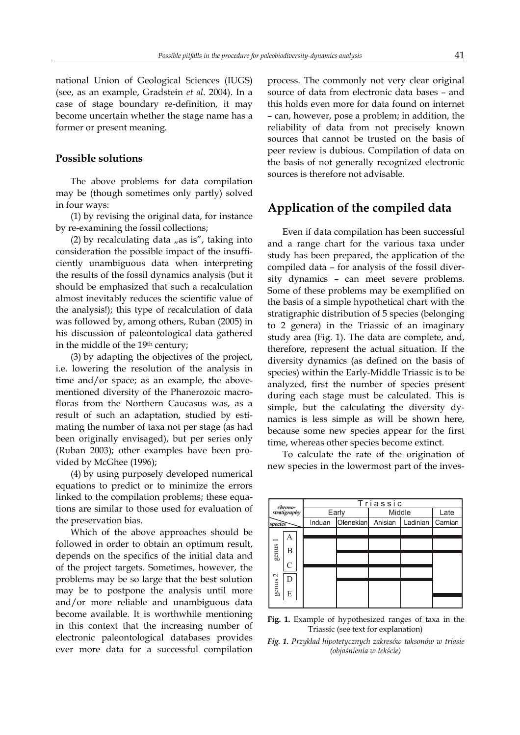national Union of Geological Sciences (IUGS) (see, as an example, Gradstein et al. 2004). In a case of stage boundary re-definition, it may become uncertain whether the stage name has a former or present meaning.

#### Possible solutions

The above problems for data compilation may be (though sometimes only partly) solved in four ways:

(1) by revising the original data, for instance by re-examining the fossil collections;

(2) by recalculating data  $n$ as is", taking into consideration the possible impact of the insufficiently unambiguous data when interpreting the results of the fossil dynamics analysis (but it should be emphasized that such a recalculation almost inevitably reduces the scientific value of the analysis!); this type of recalculation of data was followed by, among others, Ruban (2005) in his discussion of paleontological data gathered in the middle of the 19<sup>th</sup> century;

(3) by adapting the objectives of the project, i.e. lowering the resolution of the analysis in time and/or space; as an example, the abovementioned diversity of the Phanerozoic macrofloras from the Northern Caucasus was, as a result of such an adaptation, studied by estimating the number of taxa not per stage (as had been originally envisaged), but per series only (Ruban 2003); other examples have been provided by McGhee (1996);

(4) by using purposely developed numerical equations to predict or to minimize the errors linked to the compilation problems; these equations are similar to those used for evaluation of the preservation bias.

Which of the above approaches should be followed in order to obtain an optimum result, depends on the specifics of the initial data and of the project targets. Sometimes, however, the problems may be so large that the best solution may be to postpone the analysis until more and/or more reliable and unambiguous data become available. It is worthwhile mentioning in this context that the increasing number of electronic paleontological databases provides ever more data for a successful compilation process. The commonly not very clear original source of data from electronic data bases – and this holds even more for data found on internet – can, however, pose a problem; in addition, the reliability of data from not precisely known sources that cannot be trusted on the basis of peer review is dubious. Compilation of data on the basis of not generally recognized electronic sources is therefore not advisable.

## Application of the compiled data

Even if data compilation has been successful and a range chart for the various taxa under study has been prepared, the application of the compiled data – for analysis of the fossil diversity dynamics – can meet severe problems. Some of these problems may be exemplified on the basis of a simple hypothetical chart with the stratigraphic distribution of 5 species (belonging to 2 genera) in the Triassic of an imaginary study area (Fig. 1). The data are complete, and, therefore, represent the actual situation. If the diversity dynamics (as defined on the basis of species) within the Early-Middle Triassic is to be analyzed, first the number of species present during each stage must be calculated. This is simple, but the calculating the diversity dynamics is less simple as will be shown here, because some new species appear for the first time, whereas other species become extinct.

To calculate the rate of the origination of new species in the lowermost part of the inves-



Fig. 1. Example of hypothesized ranges of taxa in the Triassic (see text for explanation)

Fig. 1. Przykład hipotetycznych zakresów taksonów w triasie (objaśnienia w tekście)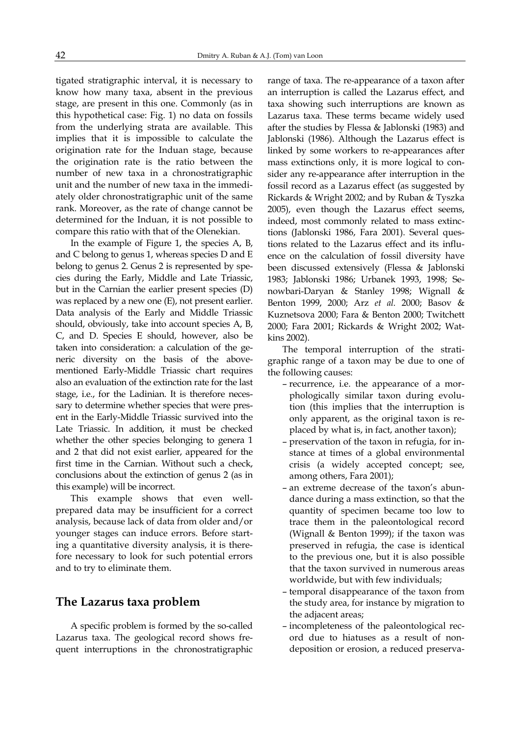tigated stratigraphic interval, it is necessary to know how many taxa, absent in the previous stage, are present in this one. Commonly (as in this hypothetical case: Fig. 1) no data on fossils from the underlying strata are available. This implies that it is impossible to calculate the origination rate for the Induan stage, because the origination rate is the ratio between the number of new taxa in a chronostratigraphic unit and the number of new taxa in the immediately older chronostratigraphic unit of the same rank. Moreover, as the rate of change cannot be determined for the Induan, it is not possible to compare this ratio with that of the Olenekian.

In the example of Figure 1, the species A, B, and C belong to genus 1, whereas species D and E belong to genus 2. Genus 2 is represented by species during the Early, Middle and Late Triassic, but in the Carnian the earlier present species (D) was replaced by a new one (E), not present earlier. Data analysis of the Early and Middle Triassic should, obviously, take into account species A, B, C, and D. Species E should, however, also be taken into consideration: a calculation of the generic diversity on the basis of the abovementioned Early-Middle Triassic chart requires also an evaluation of the extinction rate for the last stage, i.e., for the Ladinian. It is therefore necessary to determine whether species that were present in the Early-Middle Triassic survived into the Late Triassic. In addition, it must be checked whether the other species belonging to genera 1 and 2 that did not exist earlier, appeared for the first time in the Carnian. Without such a check, conclusions about the extinction of genus 2 (as in this example) will be incorrect.

This example shows that even wellprepared data may be insufficient for a correct analysis, because lack of data from older and/or younger stages can induce errors. Before starting a quantitative diversity analysis, it is therefore necessary to look for such potential errors and to try to eliminate them.

## The Lazarus taxa problem

A specific problem is formed by the so-called Lazarus taxa. The geological record shows frequent interruptions in the chronostratigraphic range of taxa. The re-appearance of a taxon after an interruption is called the Lazarus effect, and taxa showing such interruptions are known as Lazarus taxa. These terms became widely used after the studies by Flessa & Jablonski (1983) and Jablonski (1986). Although the Lazarus effect is linked by some workers to re-appearances after mass extinctions only, it is more logical to consider any re-appearance after interruption in the fossil record as a Lazarus effect (as suggested by Rickards & Wright 2002; and by Ruban & Tyszka 2005), even though the Lazarus effect seems, indeed, most commonly related to mass extinctions (Jablonski 1986, Fara 2001). Several questions related to the Lazarus effect and its influence on the calculation of fossil diversity have been discussed extensively (Flessa & Jablonski 1983; Jablonski 1986; Urbanek 1993, 1998; Senowbari-Daryan & Stanley 1998; Wignall & Benton 1999, 2000; Arz et al. 2000; Basov & Kuznetsova 2000; Fara & Benton 2000; Twitchett 2000; Fara 2001; Rickards & Wright 2002; Watkins 2002).

The temporal interruption of the stratigraphic range of a taxon may be due to one of the following causes:

- recurrence, i.e. the appearance of a morphologically similar taxon during evolution (this implies that the interruption is only apparent, as the original taxon is replaced by what is, in fact, another taxon);
- preservation of the taxon in refugia, for instance at times of a global environmental crisis (a widely accepted concept; see, among others, Fara 2001);
- an extreme decrease of the taxon's abundance during a mass extinction, so that the quantity of specimen became too low to trace them in the paleontological record (Wignall & Benton 1999); if the taxon was preserved in refugia, the case is identical to the previous one, but it is also possible that the taxon survived in numerous areas worldwide, but with few individuals;
- temporal disappearance of the taxon from the study area, for instance by migration to the adjacent areas;
- incompleteness of the paleontological record due to hiatuses as a result of nondeposition or erosion, a reduced preserva-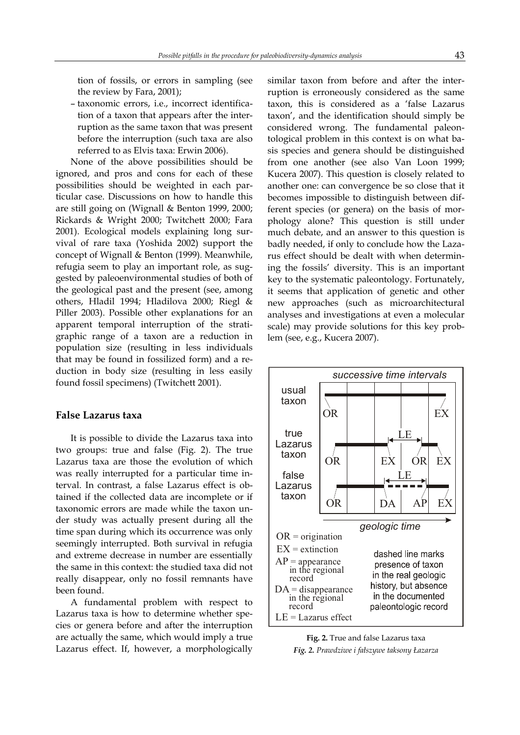tion of fossils, or errors in sampling (see the review by Fara, 2001);

– taxonomic errors, i.e., incorrect identification of a taxon that appears after the interruption as the same taxon that was present before the interruption (such taxa are also referred to as Elvis taxa: Erwin 2006).

None of the above possibilities should be ignored, and pros and cons for each of these possibilities should be weighted in each particular case. Discussions on how to handle this are still going on (Wignall & Benton 1999, 2000; Rickards & Wright 2000; Twitchett 2000; Fara 2001). Ecological models explaining long survival of rare taxa (Yoshida 2002) support the concept of Wignall & Benton (1999). Meanwhile, refugia seem to play an important role, as suggested by paleoenvironmental studies of both of the geological past and the present (see, among others, Hladil 1994; Hladilova 2000; Riegl & Piller 2003). Possible other explanations for an apparent temporal interruption of the stratigraphic range of a taxon are a reduction in population size (resulting in less individuals that may be found in fossilized form) and a reduction in body size (resulting in less easily found fossil specimens) (Twitchett 2001).

#### False Lazarus taxa

It is possible to divide the Lazarus taxa into two groups: true and false (Fig. 2). The true Lazarus taxa are those the evolution of which was really interrupted for a particular time interval. In contrast, a false Lazarus effect is obtained if the collected data are incomplete or if taxonomic errors are made while the taxon under study was actually present during all the time span during which its occurrence was only seemingly interrupted. Both survival in refugia and extreme decrease in number are essentially the same in this context: the studied taxa did not really disappear, only no fossil remnants have been found.

A fundamental problem with respect to Lazarus taxa is how to determine whether species or genera before and after the interruption are actually the same, which would imply a true Lazarus effect. If, however, a morphologically

similar taxon from before and after the interruption is erroneously considered as the same taxon, this is considered as a 'false Lazarus taxon', and the identification should simply be considered wrong. The fundamental paleontological problem in this context is on what basis species and genera should be distinguished from one another (see also Van Loon 1999; Kucera 2007). This question is closely related to another one: can convergence be so close that it becomes impossible to distinguish between different species (or genera) on the basis of morphology alone? This question is still under much debate, and an answer to this question is badly needed, if only to conclude how the Lazarus effect should be dealt with when determining the fossils' diversity. This is an important key to the systematic paleontology. Fortunately, it seems that application of genetic and other new approaches (such as microarchitectural analyses and investigations at even a molecular scale) may provide solutions for this key problem (see, e.g., Kucera 2007).



Fig. 2. True and false Lazarus taxa Fig. 2. Prawdziwe i fałszywe taksony Łazarza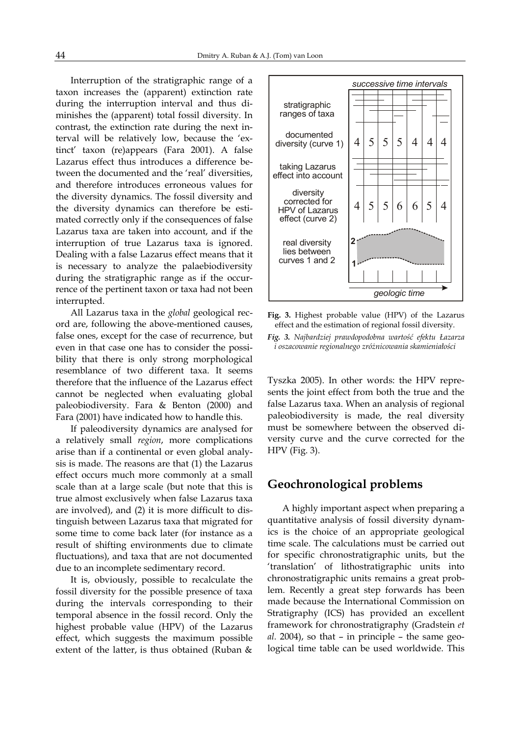Interruption of the stratigraphic range of a taxon increases the (apparent) extinction rate during the interruption interval and thus diminishes the (apparent) total fossil diversity. In contrast, the extinction rate during the next interval will be relatively low, because the 'extinct' taxon (re)appears (Fara 2001). A false Lazarus effect thus introduces a difference between the documented and the 'real' diversities, and therefore introduces erroneous values for the diversity dynamics. The fossil diversity and the diversity dynamics can therefore be estimated correctly only if the consequences of false Lazarus taxa are taken into account, and if the interruption of true Lazarus taxa is ignored. Dealing with a false Lazarus effect means that it is necessary to analyze the palaebiodiversity during the stratigraphic range as if the occurrence of the pertinent taxon or taxa had not been interrupted.

All Lazarus taxa in the global geological record are, following the above-mentioned causes, false ones, except for the case of recurrence, but even in that case one has to consider the possibility that there is only strong morphological resemblance of two different taxa. It seems therefore that the influence of the Lazarus effect cannot be neglected when evaluating global paleobiodiversity. Fara & Benton (2000) and Fara (2001) have indicated how to handle this.

If paleodiversity dynamics are analysed for a relatively small region, more complications arise than if a continental or even global analysis is made. The reasons are that (1) the Lazarus effect occurs much more commonly at a small scale than at a large scale (but note that this is true almost exclusively when false Lazarus taxa are involved), and (2) it is more difficult to distinguish between Lazarus taxa that migrated for some time to come back later (for instance as a result of shifting environments due to climate fluctuations), and taxa that are not documented due to an incomplete sedimentary record.

It is, obviously, possible to recalculate the fossil diversity for the possible presence of taxa during the intervals corresponding to their temporal absence in the fossil record. Only the highest probable value (HPV) of the Lazarus effect, which suggests the maximum possible extent of the latter, is thus obtained (Ruban &



Fig. 3. Highest probable value (HPV) of the Lazarus effect and the estimation of regional fossil diversity.

Fig. 3. Najbardziej prawdopodobna wartość efektu Łazarza i oszacowanie regionalnego zróżnicowania skamieniałości

Tyszka 2005). In other words: the HPV represents the joint effect from both the true and the false Lazarus taxa. When an analysis of regional paleobiodiversity is made, the real diversity must be somewhere between the observed diversity curve and the curve corrected for the HPV (Fig. 3).

## Geochronological problems

A highly important aspect when preparing a quantitative analysis of fossil diversity dynamics is the choice of an appropriate geological time scale. The calculations must be carried out for specific chronostratigraphic units, but the 'translation' of lithostratigraphic units into chronostratigraphic units remains a great problem. Recently a great step forwards has been made because the International Commission on Stratigraphy (ICS) has provided an excellent framework for chronostratigraphy (Gradstein et al. 2004), so that – in principle – the same geological time table can be used worldwide. This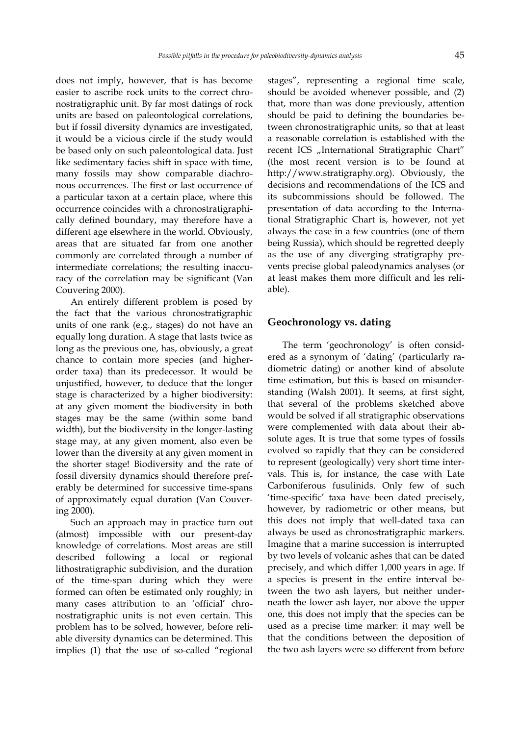does not imply, however, that is has become easier to ascribe rock units to the correct chronostratigraphic unit. By far most datings of rock units are based on paleontological correlations, but if fossil diversity dynamics are investigated, it would be a vicious circle if the study would be based only on such paleontological data. Just like sedimentary facies shift in space with time, many fossils may show comparable diachronous occurrences. The first or last occurrence of a particular taxon at a certain place, where this occurrence coincides with a chronostratigraphically defined boundary, may therefore have a different age elsewhere in the world. Obviously, areas that are situated far from one another commonly are correlated through a number of intermediate correlations; the resulting inaccuracy of the correlation may be significant (Van Couvering 2000).

An entirely different problem is posed by the fact that the various chronostratigraphic units of one rank (e.g., stages) do not have an equally long duration. A stage that lasts twice as long as the previous one, has, obviously, a great chance to contain more species (and higherorder taxa) than its predecessor. It would be unjustified, however, to deduce that the longer stage is characterized by a higher biodiversity: at any given moment the biodiversity in both stages may be the same (within some band width), but the biodiversity in the longer-lasting stage may, at any given moment, also even be lower than the diversity at any given moment in the shorter stage! Biodiversity and the rate of fossil diversity dynamics should therefore preferably be determined for successive time-spans of approximately equal duration (Van Couvering 2000).

Such an approach may in practice turn out (almost) impossible with our present-day knowledge of correlations. Most areas are still described following a local or regional lithostratigraphic subdivision, and the duration of the time-span during which they were formed can often be estimated only roughly; in many cases attribution to an 'official' chronostratigraphic units is not even certain. This problem has to be solved, however, before reliable diversity dynamics can be determined. This implies (1) that the use of so-called "regional

stages", representing a regional time scale, should be avoided whenever possible, and (2) that, more than was done previously, attention should be paid to defining the boundaries between chronostratigraphic units, so that at least a reasonable correlation is established with the recent ICS "International Stratigraphic Chart" (the most recent version is to be found at http://www.stratigraphy.org). Obviously, the decisions and recommendations of the ICS and its subcommissions should be followed. The presentation of data according to the International Stratigraphic Chart is, however, not yet always the case in a few countries (one of them being Russia), which should be regretted deeply as the use of any diverging stratigraphy prevents precise global paleodynamics analyses (or at least makes them more difficult and les reliable).

#### Geochronology vs. dating

The term 'geochronology' is often considered as a synonym of 'dating' (particularly radiometric dating) or another kind of absolute time estimation, but this is based on misunderstanding (Walsh 2001). It seems, at first sight, that several of the problems sketched above would be solved if all stratigraphic observations were complemented with data about their absolute ages. It is true that some types of fossils evolved so rapidly that they can be considered to represent (geologically) very short time intervals. This is, for instance, the case with Late Carboniferous fusulinids. Only few of such 'time-specific' taxa have been dated precisely, however, by radiometric or other means, but this does not imply that well-dated taxa can always be used as chronostratigraphic markers. Imagine that a marine succession is interrupted by two levels of volcanic ashes that can be dated precisely, and which differ 1,000 years in age. If a species is present in the entire interval between the two ash layers, but neither underneath the lower ash layer, nor above the upper one, this does not imply that the species can be used as a precise time marker: it may well be that the conditions between the deposition of the two ash layers were so different from before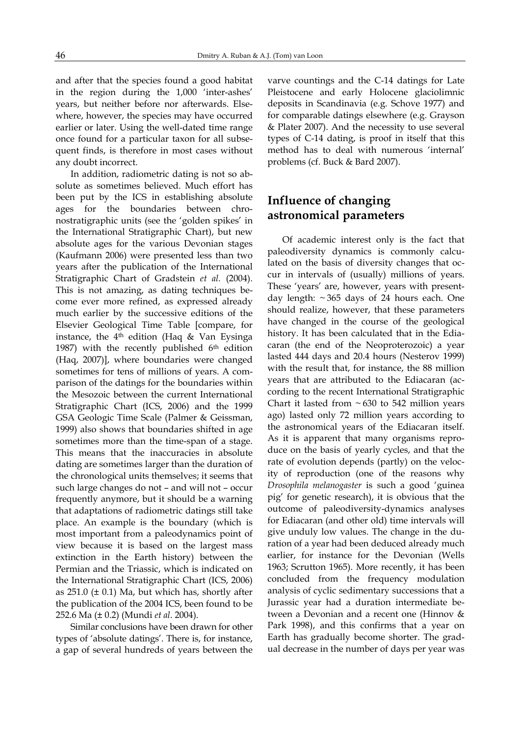and after that the species found a good habitat in the region during the 1,000 'inter-ashes' years, but neither before nor afterwards. Elsewhere, however, the species may have occurred earlier or later. Using the well-dated time range once found for a particular taxon for all subsequent finds, is therefore in most cases without any doubt incorrect.

In addition, radiometric dating is not so absolute as sometimes believed. Much effort has been put by the ICS in establishing absolute ages for the boundaries between chronostratigraphic units (see the 'golden spikes' in the International Stratigraphic Chart), but new absolute ages for the various Devonian stages (Kaufmann 2006) were presented less than two years after the publication of the International Stratigraphic Chart of Gradstein et al. (2004). This is not amazing, as dating techniques become ever more refined, as expressed already much earlier by the successive editions of the Elsevier Geological Time Table [compare, for instance, the  $4<sup>th</sup>$  edition (Haq & Van Eysinga 1987) with the recently published 6th edition (Haq, 2007)], where boundaries were changed sometimes for tens of millions of years. A comparison of the datings for the boundaries within the Mesozoic between the current International Stratigraphic Chart (ICS, 2006) and the 1999 GSA Geologic Time Scale (Palmer & Geissman, 1999) also shows that boundaries shifted in age sometimes more than the time-span of a stage. This means that the inaccuracies in absolute dating are sometimes larger than the duration of the chronological units themselves; it seems that such large changes do not – and will not – occur frequently anymore, but it should be a warning that adaptations of radiometric datings still take place. An example is the boundary (which is most important from a paleodynamics point of view because it is based on the largest mass extinction in the Earth history) between the Permian and the Triassic, which is indicated on the International Stratigraphic Chart (ICS, 2006) as  $251.0$  ( $\pm$  0.1) Ma, but which has, shortly after the publication of the 2004 ICS, been found to be 252.6 Ma (± 0.2) (Mundi et al. 2004).

Similar conclusions have been drawn for other types of 'absolute datings'. There is, for instance, a gap of several hundreds of years between the varve countings and the C-14 datings for Late Pleistocene and early Holocene glaciolimnic deposits in Scandinavia (e.g. Schove 1977) and for comparable datings elsewhere (e.g. Grayson & Plater 2007). And the necessity to use several types of C-14 dating, is proof in itself that this method has to deal with numerous 'internal' problems (cf. Buck & Bard 2007).

## Influence of changing astronomical parameters

Of academic interest only is the fact that paleodiversity dynamics is commonly calculated on the basis of diversity changes that occur in intervals of (usually) millions of years. These 'years' are, however, years with presentday length: ~ 365 days of 24 hours each. One should realize, however, that these parameters have changed in the course of the geological history. It has been calculated that in the Ediacaran (the end of the Neoproterozoic) a year lasted 444 days and 20.4 hours (Nesterov 1999) with the result that, for instance, the 88 million years that are attributed to the Ediacaran (according to the recent International Stratigraphic Chart it lasted from  $\sim 630$  to 542 million years ago) lasted only 72 million years according to the astronomical years of the Ediacaran itself. As it is apparent that many organisms reproduce on the basis of yearly cycles, and that the rate of evolution depends (partly) on the velocity of reproduction (one of the reasons why Drosophila melanogaster is such a good 'guinea pig' for genetic research), it is obvious that the outcome of paleodiversity-dynamics analyses for Ediacaran (and other old) time intervals will give unduly low values. The change in the duration of a year had been deduced already much earlier, for instance for the Devonian (Wells 1963; Scrutton 1965). More recently, it has been concluded from the frequency modulation analysis of cyclic sedimentary successions that a Jurassic year had a duration intermediate between a Devonian and a recent one (Hinnov & Park 1998), and this confirms that a year on Earth has gradually become shorter. The gradual decrease in the number of days per year was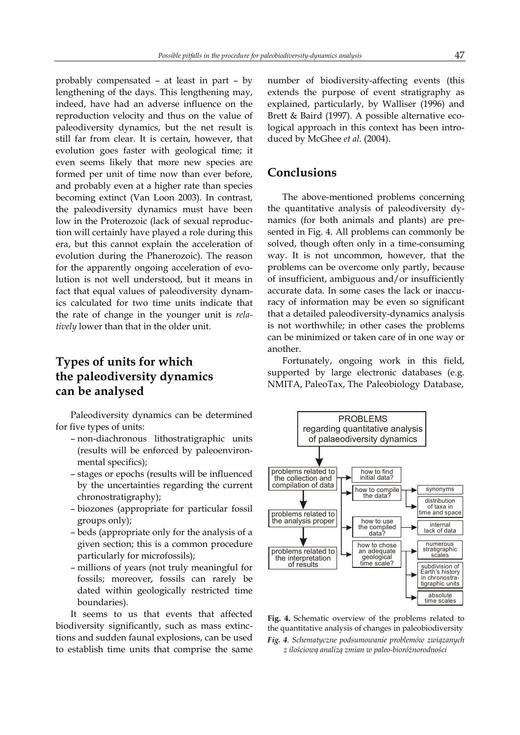probably compensated – at least in part – by lengthening of the days. This lengthening may, indeed, have had an adverse influence on the reproduction velocity and thus on the value of paleodiversity dynamics, but the net result is still far from clear. It is certain, however, that evolution goes faster with geological time; it even seems likely that more new species are formed per unit of time now than ever before, and probably even at a higher rate than species becoming extinct (Van Loon 2003). In contrast, the paleodiversity dynamics must have been low in the Proterozoic (lack of sexual reproduction will certainly have played a role during this era, but this cannot explain the acceleration of evolution during the Phanerozoic). The reason for the apparently ongoing acceleration of evolution is not well understood, but it means in fact that equal values of paleodiversity dynamics calculated for two time units indicate that the rate of change in the younger unit is relatively lower than that in the older unit.

# Types of units for which the paleodiversity dynamics can be analysed

Paleodiversity dynamics can be determined for five types of units:

- non-diachronous lithostratigraphic units (results will be enforced by paleoenvironmental specifics);
- stages or epochs (results will be influenced by the uncertainties regarding the current chronostratigraphy);
- biozones (appropriate for particular fossil groups only);
- beds (appropriate only for the analysis of a given section; this is a common procedure particularly for microfossils);
- millions of years (not truly meaningful for fossils; moreover, fossils can rarely be dated within geologically restricted time boundaries).

It seems to us that events that affected biodiversity significantly, such as mass extinctions and sudden faunal explosions, can be used to establish time units that comprise the same number of biodiversity-affecting events (this extends the purpose of event stratigraphy as explained, particularly, by Walliser (1996) and Brett & Baird (1997). A possible alternative ecological approach in this context has been introduced by McGhee et al. (2004).

# Conclusions

The above-mentioned problems concerning the quantitative analysis of paleodiversity dynamics (for both animals and plants) are presented in Fig. 4. All problems can commonly be solved, though often only in a time-consuming way. It is not uncommon, however, that the problems can be overcome only partly, because of insufficient, ambiguous and/or insufficiently accurate data. In some cases the lack or inaccuracy of information may be even so significant that a detailed paleodiversity-dynamics analysis is not worthwhile; in other cases the problems can be minimized or taken care of in one way or another.

Fortunately, ongoing work in this field, supported by large electronic databases (e.g. NMITA, PaleoTax, The Paleobiology Database,



Fig. 4. Schematic overview of the problems related to the quantitative analysis of changes in paleobiodiversity

Fig. 4. Schematyczne podsumowanie problemów związanych z ilościową analizą zmian w paleo-bioróżnorodności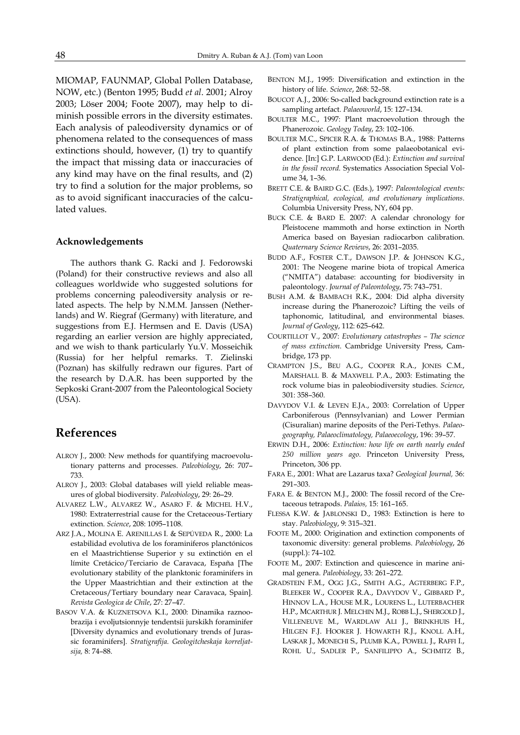MIOMAP, FAUNMAP, Global Pollen Database, NOW, etc.) (Benton 1995; Budd et al. 2001; Alroy 2003; Löser 2004; Foote 2007), may help to diminish possible errors in the diversity estimates. Each analysis of paleodiversity dynamics or of phenomena related to the consequences of mass extinctions should, however, (1) try to quantify the impact that missing data or inaccuracies of any kind may have on the final results, and (2) try to find a solution for the major problems, so as to avoid significant inaccuracies of the calculated values.

#### Acknowledgements

The authors thank G. Racki and J. Fedorowski (Poland) for their constructive reviews and also all colleagues worldwide who suggested solutions for problems concerning paleodiversity analysis or related aspects. The help by N.M.M. Janssen (Netherlands) and W. Riegraf (Germany) with literature, and suggestions from E.J. Hermsen and E. Davis (USA) regarding an earlier version are highly appreciated, and we wish to thank particularly Yu.V. Mosseichik (Russia) for her helpful remarks. T. Zielinski (Poznan) has skilfully redrawn our figures. Part of the research by D.A.R. has been supported by the Sepkoski Grant-2007 from the Paleontological Society (USA).

## References

- ALROY J., 2000: New methods for quantifying macroevolutionary patterns and processes. Paleobiology, 26: 707– 733.
- ALROY J., 2003: Global databases will yield reliable measures of global biodiversity. Paleobiology, 29: 26–29.
- ALVAREZ L.W., ALVAREZ W., ASARO F. & MICHEL H.V., 1980: Extraterrestrial cause for the Cretaceous-Tertiary extinction. Science, 208: 1095–1108.
- ARZ J.A., MOLINA E. ARENILLAS I. & SEPÚVEDA R., 2000: La estabilidad evolutiva de los foraminiferos planctónicos en el Maastrichtiense Superior y su extinctión en el límite Cretácico/Terciario de Caravaca, España [The evolutionary stability of the planktonic foraminifers in the Upper Maastrichtian and their extinction at the Cretaceous/Tertiary boundary near Caravaca, Spain]. Revista Geologica de Chile, 27: 27–47.
- BASOV V.A. & KUZNETSOVA K.I., 2000: Dinamika raznoobrazija i evoljutsionnyje tendentsii jurskikh foraminifer [Diversity dynamics and evolutionary trends of Jurassic foraminifers]. Stratigrafija. Geologitcheskaja korreljatsija, 8: 74–88.
- BENTON M.J., 1995: Diversification and extinction in the history of life. Science, 268: 52-58.
- BOUCOT A.J., 2006: So-called background extinction rate is a sampling artefact. Palaeoworld, 15: 127-134.
- BOULTER M.C., 1997: Plant macroevolution through the Phanerozoic. Geology Today, 23: 102–106.
- BOULTER M.C., SPICER R.A. & THOMAS B.A., 1988: Patterns of plant extinction from some palaeobotanical evidence. [In:] G.P. LARWOOD (Ed.): Extinction and survival in the fossil record. Systematics Association Special Volume 34, 1–36.
- BRETT C.E. & BAIRD G.C. (Eds.), 1997: Paleontological events: Stratigraphical, ecological, and evolutionary implications. Columbia University Press, NY, 604 pp.
- BUCK C.E. & BARD E. 2007: A calendar chronology for Pleistocene mammoth and horse extinction in North America based on Bayesian radiocarbon calibration. Quaternary Science Reviews, 26: 2031–2035.
- BUDD A.F., FOSTER C.T., DAWSON J.P. & JOHNSON K.G., 2001: The Neogene marine biota of tropical America ("NMITA") database: accounting for biodiversity in paleontology. Journal of Paleontology, 75: 743–751.
- BUSH A.M. & BAMBACH R.K., 2004: Did alpha diversity increase during the Phanerozoic? Lifting the veils of taphonomic, latitudinal, and environmental biases. Journal of Geology, 112: 625–642.
- COURTILLOT V., 2007: Evolutionary catastrophes The science of mass extinction. Cambridge University Press, Cambridge, 173 pp.
- CRAMPTON J.S., BEU A.G., COOPER R.A., JONES C.M., MARSHALL B. & MAXWELL P.A., 2003: Estimating the rock volume bias in paleobiodiversity studies. Science, 301: 358–360.
- DAVYDOV V.I. & LEVEN E.JA., 2003: Correlation of Upper Carboniferous (Pennsylvanian) and Lower Permian (Cisuralian) marine deposits of the Peri-Tethys. Palaeogeography, Palaeoclimatology, Palaeoecology, 196: 39–57.
- ERWIN D.H., 2006: Extinction: how life on earth nearly ended 250 million years ago. Princeton University Press, Princeton, 306 pp.
- FARA E., 2001: What are Lazarus taxa? Geological Journal, 36: 291–303.
- FARA E. & BENTON M.J., 2000: The fossil record of the Cretaceous tetrapods. Palaios, 15: 161–165.
- FLESSA K.W. & JABLONSKI D., 1983: Extinction is here to stay. Paleobiology, 9: 315–321.
- FOOTE M., 2000: Origination and extinction components of taxonomic diversity: general problems. Paleobiology, 26 (suppl.): 74–102.
- FOOTE M., 2007: Extinction and quiescence in marine animal genera. Paleobiology, 33: 261–272.
- GRADSTEIN F.M., OGG J.G., SMITH A.G., AGTERBERG F.P., BLEEKER W., COOPER R.A., DAVYDOV V., GIBBARD P., HINNOV L.A., HOUSE M.R., LOURENS L., LUTERBACHER H.P., MCARTHUR J. MELCHIN M.J., ROBB L.J., SHERGOLD J., VILLENEUVE M., WARDLAW ALI J., BRINKHUIS H., HILGEN F.J. HOOKER J. HOWARTH R.J., KNOLL A.H., LASKAR J., MONECHI S., PLUMB K.A., POWELL J., RAFFI I., ROHL U., SADLER P., SANFILIPPO A., SCHMITZ B.,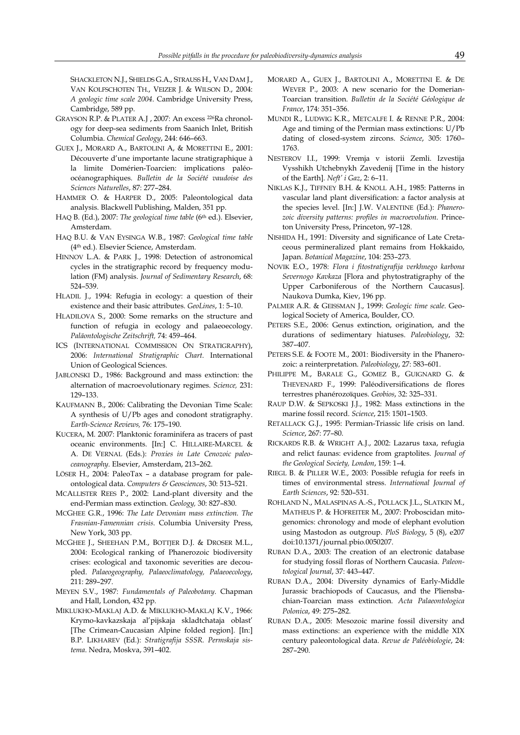SHACKLETON N.J., SHIELDS G.A., STRAUSS H., VAN DAM J., VAN KOLFSCHOTEN TH., VEIZER J. & WILSON D., 2004: A geologic time scale 2004. Cambridge University Press, Cambridge, 589 pp.

- GRAYSON R.P. & PLATER A.J , 2007: An excess 226Ra chronology for deep-sea sediments from Saanich Inlet, British Columbia. Chemical Geology, 244: 646–663.
- GUEX J., MORARD A., BARTOLINI A, & MORETTINI E., 2001: Découverte d'une importante lacune stratigraphique à la limite Domérien-Toarcien: implications paléoocéanographiques. Bulletin de la Société vaudoise des Sciences Naturelles, 87: 277–284.
- HAMMER O. & HARPER D., 2005: Paleontological data analysis. Blackwell Publishing, Malden, 351 pp.
- HAQ B. (Ed.), 2007: The geological time table (6<sup>th</sup> ed.). Elsevier, Amsterdam.
- HAQ B.U. & VAN EYSINGA W.B., 1987: Geological time table (4th ed.). Elsevier Science, Amsterdam.
- HINNOV L.A. & PARK J., 1998: Detection of astronomical cycles in the stratigraphic record by frequency modulation (FM) analysis. Journal of Sedimentary Research, 68: 524–539.
- HLADIL J., 1994: Refugia in ecology: a question of their existence and their basic attributes. GeoLines, 1: 5–10.
- HLADILOVA S., 2000: Some remarks on the structure and function of refugia in ecology and palaeoecology. Paläontologische Zeitschrift, 74: 459–464.
- ICS (INTERNATIONAL COMMISSION ON STRATIGRAPHY), 2006: International Stratigraphic Chart. International Union of Geological Sciences.
- JABLONSKI D., 1986: Background and mass extinction: the alternation of macroevolutionary regimes. Science, 231: 129–133.
- KAUFMANN B., 2006: Calibrating the Devonian Time Scale: A synthesis of U/Pb ages and conodont stratigraphy. Earth-Science Reviews, 76: 175–190.
- KUCERA, M. 2007: Planktonic foraminifera as tracers of past oceanic environments. [In:] C. HILLAIRE-MARCEL & A. DE VERNAL (Eds.): Proxies in Late Cenozoic paleoceanography. Elsevier, Amsterdam, 213–262.
- LÖSER H., 2004: PaleoTax a database program for paleontological data. Computers & Geosciences, 30: 513–521.
- MCALLISTER REES P., 2002: Land-plant diversity and the end-Permian mass extinction. Geology, 30: 827–830.
- MCGHEE G.R., 1996: The Late Devonian mass extinction. The Frasnian-Famennian crisis. Columbia University Press, New York, 303 pp.
- MCGHEE J., SHEEHAN P.M., BOTTJER D.J. & DROSER M.L., 2004: Ecological ranking of Phanerozoic biodiversity crises: ecological and taxonomic severities are decoupled. Palaeogeography, Palaeoclimatology, Palaeoecology, 211: 289–297.
- MEYEN S.V., 1987: Fundamentals of Paleobotany. Chapman and Hall, London, 432 pp.
- MIKLUKHO-MAKLAJ A.D. & MIKLUKHO-MAKLAJ K.V., 1966: Krymo-kavkazskaja al'pijskaja skladtchataja oblast' [The Crimean-Caucasian Alpine folded region]. [In:] B.P. LIKHAREV (Ed.): Stratigrafija SSSR. Permskaja sistema. Nedra, Moskva, 391–402.
- MORARD A., GUEX J., BARTOLINI A., MORETTINI E. & DE WEVER P., 2003: A new scenario for the Domerian-Toarcian transition. Bulletin de la Société Géologique de France, 174: 351–356.
- MUNDI R., LUDWIG K.R., METCALFE I. & RENNE P.R., 2004: Age and timing of the Permian mass extinctions: U/Pb dating of closed-system zircons. Science, 305: 1760– 1763.
- NESTEROV I.I., 1999: Vremja v istorii Zemli. Izvestija Vysshikh Utchebnykh Zavedenij [Time in the history of the Earth]. Neft' i Gaz, 2: 6–11.
- NIKLAS K.J., TIFFNEY B.H. & KNOLL A.H., 1985: Patterns in vascular land plant diversification: a factor analysis at the species level. [In:] J.W. VALENTINE (Ed.): Phanerozoic diversity patterns: profiles in macroevolution. Princeton University Press, Princeton, 97–128.
- NISHIDA H., 1991: Diversity and significance of Late Cretaceous permineralized plant remains from Hokkaido, Japan. Botanical Magazine, 104: 253–273.
- NOVIK E.O., 1978: Flora i fitostratigrafija verkhnego karbona Severnogo Kavkaza [Flora and phytostratigraphy of the Upper Carboniferous of the Northern Caucasus]. Naukova Dumka, Kiev, 196 pp.
- PALMER A.R. & GEISSMAN J., 1999: Geologic time scale. Geological Society of America, Boulder, CO.
- PETERS S.E., 2006: Genus extinction, origination, and the durations of sedimentary hiatuses. Paleobiology, 32: 387–407.
- PETERS S.E. & FOOTE M., 2001: Biodiversity in the Phanerozoic: a reinterpretation. Paleobiology, 27: 583–601.
- PHILIPPE M., BARALE G., GOMEZ B., GUIGNARD G. & THEVENARD F., 1999: Paléodiversifications de flores terrestres phanérozoïques. Geobios, 32: 325–331.
- RAUP D.W. & SEPKOSKI J.J., 1982: Mass extinctions in the marine fossil record. Science, 215: 1501–1503.
- RETALLACK G.J., 1995: Permian-Triassic life crisis on land. Science, 267: 77–80.
- RICKARDS R.B. & WRIGHT A.J., 2002: Lazarus taxa, refugia and relict faunas: evidence from graptolites. Journal of the Geological Society, London, 159: 1–4.
- RIEGL B. & PILLER W.E., 2003: Possible refugia for reefs in times of environmental stress. International Journal of Earth Sciences, 92: 520–531.
- ROHLAND N., MALASPINAS A.-S., POLLACK J.L., SLATKIN M., MATHEUS P. & HOFREITER M., 2007: Proboscidan mitogenomics: chronology and mode of elephant evolution using Mastodon as outgroup. PloS Biology, 5 (8), e207 doi:10.1371/journal.pbio.0050207.
- RUBAN D.A., 2003: The creation of an electronic database for studying fossil floras of Northern Caucasia. Paleontological Journal, 37: 443–447.
- RUBAN D.A., 2004: Diversity dynamics of Early-Middle Jurassic brachiopods of Caucasus, and the Pliensbachian-Toarcian mass extinction. Acta Palaeontologica Polonica, 49: 275–282.
- RUBAN D.A., 2005: Mesozoic marine fossil diversity and mass extinctions: an experience with the middle XIX century paleontological data. Revue de Paléobiologie, 24: 287–290.